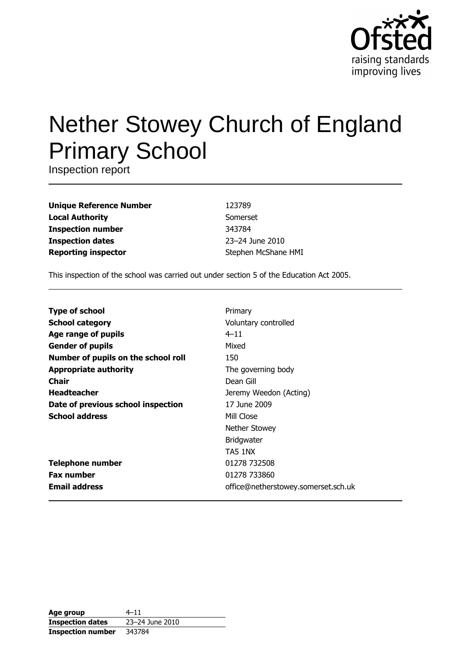

# **Nether Stowey Church of England Primary School**

Inspection report

**Unique Reference Number Local Authority Inspection number Inspection dates Reporting inspector** 

123789 Somerset 343784 23-24 June 2010 Stephen McShane HMI

This inspection of the school was carried out under section 5 of the Education Act 2005.

| <b>Type of school</b>               | Primary                             |
|-------------------------------------|-------------------------------------|
| <b>School category</b>              | Voluntary controlled                |
| Age range of pupils                 | $4 - 11$                            |
| <b>Gender of pupils</b>             | Mixed                               |
| Number of pupils on the school roll | 150                                 |
| <b>Appropriate authority</b>        | The governing body                  |
| <b>Chair</b>                        | Dean Gill                           |
| <b>Headteacher</b>                  | Jeremy Weedon (Acting)              |
| Date of previous school inspection  | 17 June 2009                        |
| <b>School address</b>               | Mill Close                          |
|                                     | Nether Stowey                       |
|                                     | <b>Bridgwater</b>                   |
|                                     | TA5 1NX                             |
| <b>Telephone number</b>             | 01278 732508                        |
| <b>Fax number</b>                   | 01278 733860                        |
| <b>Email address</b>                | office@netherstowey.somerset.sch.uk |

| Age group                | $4 - 11$        |
|--------------------------|-----------------|
| <b>Inspection dates</b>  | 23-24 June 2010 |
| <b>Inspection number</b> | 343784          |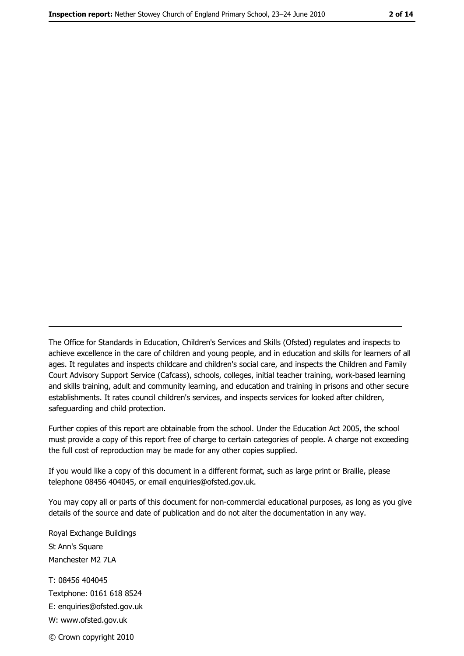The Office for Standards in Education, Children's Services and Skills (Ofsted) regulates and inspects to achieve excellence in the care of children and young people, and in education and skills for learners of all ages. It regulates and inspects childcare and children's social care, and inspects the Children and Family Court Advisory Support Service (Cafcass), schools, colleges, initial teacher training, work-based learning and skills training, adult and community learning, and education and training in prisons and other secure establishments. It rates council children's services, and inspects services for looked after children, safequarding and child protection.

Further copies of this report are obtainable from the school. Under the Education Act 2005, the school must provide a copy of this report free of charge to certain categories of people. A charge not exceeding the full cost of reproduction may be made for any other copies supplied.

If you would like a copy of this document in a different format, such as large print or Braille, please telephone 08456 404045, or email enquiries@ofsted.gov.uk.

You may copy all or parts of this document for non-commercial educational purposes, as long as you give details of the source and date of publication and do not alter the documentation in any way.

Royal Exchange Buildings St Ann's Square Manchester M2 7LA T: 08456 404045 Textphone: 0161 618 8524 E: enquiries@ofsted.gov.uk W: www.ofsted.gov.uk © Crown copyright 2010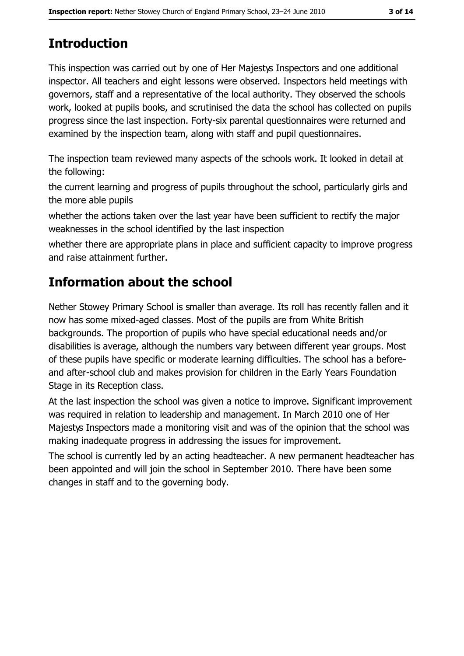# **Introduction**

This inspection was carried out by one of Her Majestys Inspectors and one additional inspector. All teachers and eight lessons were observed. Inspectors held meetings with governors, staff and a representative of the local authority. They observed the schools work, looked at pupils books, and scrutinised the data the school has collected on pupils progress since the last inspection. Forty-six parental questionnaires were returned and examined by the inspection team, along with staff and pupil questionnaires.

The inspection team reviewed many aspects of the schools work. It looked in detail at the following:

the current learning and progress of pupils throughout the school, particularly girls and the more able pupils

whether the actions taken over the last year have been sufficient to rectify the major weaknesses in the school identified by the last inspection

whether there are appropriate plans in place and sufficient capacity to improve progress and raise attainment further.

# **Information about the school**

Nether Stowey Primary School is smaller than average. Its roll has recently fallen and it now has some mixed-aged classes. Most of the pupils are from White British backgrounds. The proportion of pupils who have special educational needs and/or disabilities is average, although the numbers vary between different year groups. Most of these pupils have specific or moderate learning difficulties. The school has a beforeand after-school club and makes provision for children in the Early Years Foundation Stage in its Reception class.

At the last inspection the school was given a notice to improve. Significant improvement was required in relation to leadership and management. In March 2010 one of Her Majestys Inspectors made a monitoring visit and was of the opinion that the school was making inadequate progress in addressing the issues for improvement.

The school is currently led by an acting headteacher. A new permanent headteacher has been appointed and will join the school in September 2010. There have been some changes in staff and to the governing body.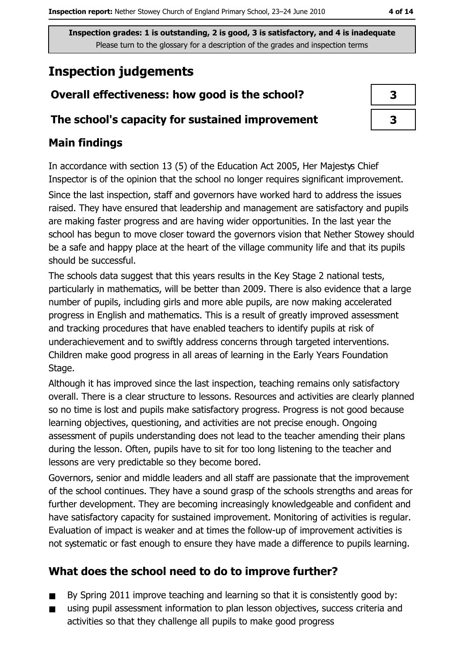# **Inspection judgements**

### Overall effectiveness: how good is the school?

#### The school's capacity for sustained improvement

## **Main findings**

In accordance with section 13 (5) of the Education Act 2005, Her Majestys Chief Inspector is of the opinion that the school no longer requires significant improvement. Since the last inspection, staff and governors have worked hard to address the issues raised. They have ensured that leadership and management are satisfactory and pupils are making faster progress and are having wider opportunities. In the last year the school has begun to move closer toward the governors vision that Nether Stowey should be a safe and happy place at the heart of the village community life and that its pupils should be successful.

The schools data suggest that this years results in the Key Stage 2 national tests, particularly in mathematics, will be better than 2009. There is also evidence that a large number of pupils, including girls and more able pupils, are now making accelerated progress in English and mathematics. This is a result of greatly improved assessment and tracking procedures that have enabled teachers to identify pupils at risk of underachievement and to swiftly address concerns through targeted interventions. Children make good progress in all areas of learning in the Early Years Foundation Stage.

Although it has improved since the last inspection, teaching remains only satisfactory overall. There is a clear structure to lessons. Resources and activities are clearly planned so no time is lost and pupils make satisfactory progress. Progress is not good because learning objectives, questioning, and activities are not precise enough. Ongoing assessment of pupils understanding does not lead to the teacher amending their plans during the lesson. Often, pupils have to sit for too long listening to the teacher and lessons are very predictable so they become bored.

Governors, senior and middle leaders and all staff are passionate that the improvement of the school continues. They have a sound grasp of the schools strengths and areas for further development. They are becoming increasingly knowledgeable and confident and have satisfactory capacity for sustained improvement. Monitoring of activities is regular. Evaluation of impact is weaker and at times the follow-up of improvement activities is not systematic or fast enough to ensure they have made a difference to pupils learning.

## What does the school need to do to improve further?

- By Spring 2011 improve teaching and learning so that it is consistently good by:  $\blacksquare$
- using pupil assessment information to plan lesson objectives, success criteria and  $\blacksquare$ activities so that they challenge all pupils to make good progress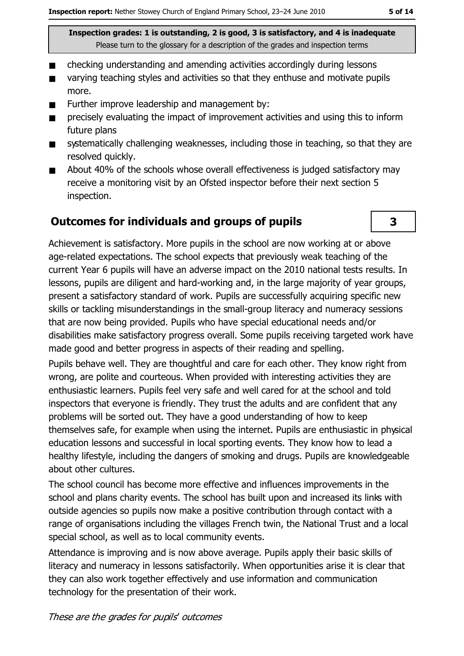- checking understanding and amending activities accordingly during lessons  $\blacksquare$
- varying teaching styles and activities so that they enthuse and motivate pupils  $\blacksquare$ more.
- Further improve leadership and management by: п
- precisely evaluating the impact of improvement activities and using this to inform  $\blacksquare$ future plans
- systematically challenging weaknesses, including those in teaching, so that they are  $\blacksquare$ resolved quickly.
- About 40% of the schools whose overall effectiveness is judged satisfactory may  $\blacksquare$ receive a monitoring visit by an Ofsted inspector before their next section 5 inspection.

#### **Outcomes for individuals and groups of pupils**

3

Achievement is satisfactory. More pupils in the school are now working at or above age-related expectations. The school expects that previously weak teaching of the current Year 6 pupils will have an adverse impact on the 2010 national tests results. In lessons, pupils are diligent and hard-working and, in the large majority of year groups, present a satisfactory standard of work. Pupils are successfully acquiring specific new skills or tackling misunderstandings in the small-group literacy and numeracy sessions that are now being provided. Pupils who have special educational needs and/or disabilities make satisfactory progress overall. Some pupils receiving targeted work have made good and better progress in aspects of their reading and spelling.

Pupils behave well. They are thoughtful and care for each other. They know right from wrong, are polite and courteous. When provided with interesting activities they are enthusiastic learners. Pupils feel very safe and well cared for at the school and told inspectors that everyone is friendly. They trust the adults and are confident that any problems will be sorted out. They have a good understanding of how to keep themselves safe, for example when using the internet. Pupils are enthusiastic in physical education lessons and successful in local sporting events. They know how to lead a healthy lifestyle, including the dangers of smoking and drugs. Pupils are knowledgeable about other cultures.

The school council has become more effective and influences improvements in the school and plans charity events. The school has built upon and increased its links with outside agencies so pupils now make a positive contribution through contact with a range of organisations including the villages French twin, the National Trust and a local special school, as well as to local community events.

Attendance is improving and is now above average. Pupils apply their basic skills of literacy and numeracy in lessons satisfactorily. When opportunities arise it is clear that they can also work together effectively and use information and communication technology for the presentation of their work.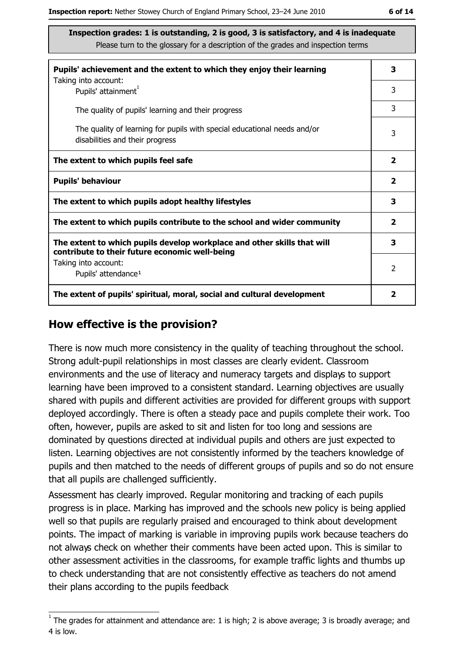| Pupils' achievement and the extent to which they enjoy their learning                                                     | 3                       |
|---------------------------------------------------------------------------------------------------------------------------|-------------------------|
| Taking into account:<br>Pupils' attainment <sup>1</sup>                                                                   | 3                       |
| The quality of pupils' learning and their progress                                                                        | 3                       |
| The quality of learning for pupils with special educational needs and/or<br>disabilities and their progress               | 3                       |
| The extent to which pupils feel safe                                                                                      | $\overline{\mathbf{2}}$ |
| <b>Pupils' behaviour</b>                                                                                                  |                         |
| The extent to which pupils adopt healthy lifestyles                                                                       |                         |
| The extent to which pupils contribute to the school and wider community                                                   |                         |
| The extent to which pupils develop workplace and other skills that will<br>contribute to their future economic well-being | 3                       |
| Taking into account:<br>Pupils' attendance <sup>1</sup>                                                                   | 2                       |
| The extent of pupils' spiritual, moral, social and cultural development                                                   | 2                       |

#### How effective is the provision?

There is now much more consistency in the quality of teaching throughout the school. Strong adult-pupil relationships in most classes are clearly evident. Classroom environments and the use of literacy and numeracy targets and displays to support learning have been improved to a consistent standard. Learning objectives are usually shared with pupils and different activities are provided for different groups with support deployed accordingly. There is often a steady pace and pupils complete their work. Too often, however, pupils are asked to sit and listen for too long and sessions are dominated by questions directed at individual pupils and others are just expected to listen. Learning objectives are not consistently informed by the teachers knowledge of pupils and then matched to the needs of different groups of pupils and so do not ensure that all pupils are challenged sufficiently.

Assessment has clearly improved. Regular monitoring and tracking of each pupils progress is in place. Marking has improved and the schools new policy is being applied well so that pupils are regularly praised and encouraged to think about development points. The impact of marking is variable in improving pupils work because teachers do not always check on whether their comments have been acted upon. This is similar to other assessment activities in the classrooms, for example traffic lights and thumbs up to check understanding that are not consistently effective as teachers do not amend their plans according to the pupils feedback

 $1$  The grades for attainment and attendance are: 1 is high; 2 is above average; 3 is broadly average; and 4 is low.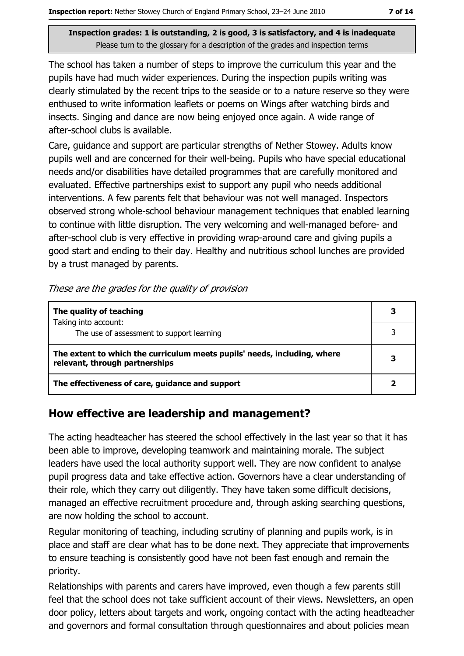The school has taken a number of steps to improve the curriculum this year and the pupils have had much wider experiences. During the inspection pupils writing was clearly stimulated by the recent trips to the seaside or to a nature reserve so they were enthused to write information leaflets or poems on Wings after watching birds and insects. Singing and dance are now being enjoyed once again. A wide range of after-school clubs is available.

Care, guidance and support are particular strengths of Nether Stowey. Adults know pupils well and are concerned for their well-being. Pupils who have special educational needs and/or disabilities have detailed programmes that are carefully monitored and evaluated. Effective partnerships exist to support any pupil who needs additional interventions. A few parents felt that behaviour was not well managed. Inspectors observed strong whole-school behaviour management techniques that enabled learning to continue with little disruption. The very welcoming and well-managed before- and after-school club is very effective in providing wrap-around care and giving pupils a good start and ending to their day. Healthy and nutritious school lunches are provided by a trust managed by parents.

| These are the grades for the quality of provision |  |  |  |
|---------------------------------------------------|--|--|--|
|---------------------------------------------------|--|--|--|

| The quality of teaching                                                                                    |  |
|------------------------------------------------------------------------------------------------------------|--|
| Taking into account:<br>The use of assessment to support learning                                          |  |
| The extent to which the curriculum meets pupils' needs, including, where<br>relevant, through partnerships |  |
| The effectiveness of care, guidance and support                                                            |  |

## How effective are leadership and management?

The acting headteacher has steered the school effectively in the last year so that it has been able to improve, developing teamwork and maintaining morale. The subject leaders have used the local authority support well. They are now confident to analyse pupil progress data and take effective action. Governors have a clear understanding of their role, which they carry out diligently. They have taken some difficult decisions, managed an effective recruitment procedure and, through asking searching questions, are now holding the school to account.

Regular monitoring of teaching, including scrutiny of planning and pupils work, is in place and staff are clear what has to be done next. They appreciate that improvements to ensure teaching is consistently good have not been fast enough and remain the priority.

Relationships with parents and carers have improved, even though a few parents still feel that the school does not take sufficient account of their views. Newsletters, an open door policy, letters about targets and work, ongoing contact with the acting headteacher and governors and formal consultation through questionnaires and about policies mean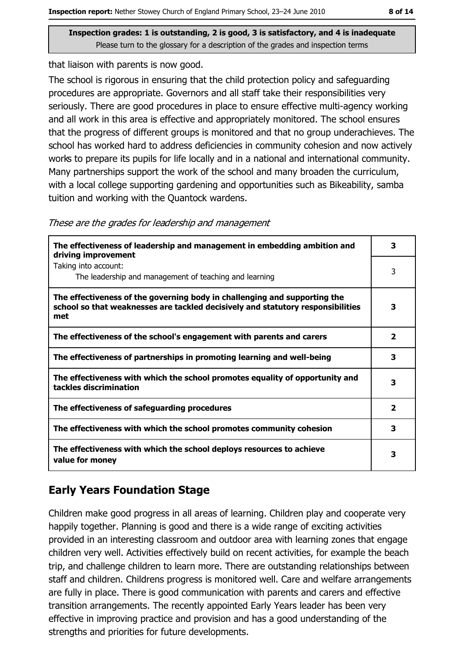that liaison with parents is now good.

The school is rigorous in ensuring that the child protection policy and safeguarding procedures are appropriate. Governors and all staff take their responsibilities very seriously. There are good procedures in place to ensure effective multi-agency working and all work in this area is effective and appropriately monitored. The school ensures that the progress of different groups is monitored and that no group underachieves. The school has worked hard to address deficiencies in community cohesion and now actively works to prepare its pupils for life locally and in a national and international community. Many partnerships support the work of the school and many broaden the curriculum, with a local college supporting gardening and opportunities such as Bikeability, samba tuition and working with the Quantock wardens.

These are the grades for leadership and management

| The effectiveness of leadership and management in embedding ambition and<br>driving improvement                                                                     | з                       |
|---------------------------------------------------------------------------------------------------------------------------------------------------------------------|-------------------------|
| Taking into account:<br>The leadership and management of teaching and learning                                                                                      | 3                       |
| The effectiveness of the governing body in challenging and supporting the<br>school so that weaknesses are tackled decisively and statutory responsibilities<br>met | 3                       |
| The effectiveness of the school's engagement with parents and carers                                                                                                | $\mathbf{2}$            |
| The effectiveness of partnerships in promoting learning and well-being                                                                                              | 3                       |
| The effectiveness with which the school promotes equality of opportunity and<br>tackles discrimination                                                              | 3                       |
| The effectiveness of safeguarding procedures                                                                                                                        | $\overline{\mathbf{2}}$ |
| The effectiveness with which the school promotes community cohesion                                                                                                 | 3                       |
| The effectiveness with which the school deploys resources to achieve<br>value for money                                                                             | 3                       |

## **Early Years Foundation Stage**

Children make good progress in all areas of learning. Children play and cooperate very happily together. Planning is good and there is a wide range of exciting activities provided in an interesting classroom and outdoor area with learning zones that engage children very well. Activities effectively build on recent activities, for example the beach trip, and challenge children to learn more. There are outstanding relationships between staff and children. Childrens progress is monitored well. Care and welfare arrangements are fully in place. There is good communication with parents and carers and effective transition arrangements. The recently appointed Early Years leader has been very effective in improving practice and provision and has a good understanding of the strengths and priorities for future developments.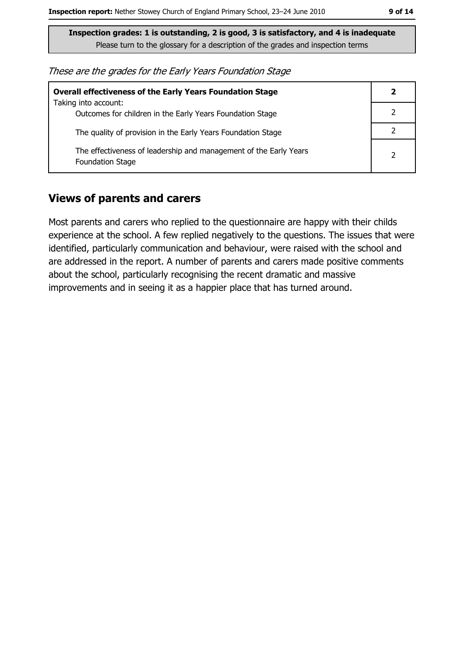| These are the grades for the Early Years Foundation Stage |  |  |
|-----------------------------------------------------------|--|--|
|-----------------------------------------------------------|--|--|

| <b>Overall effectiveness of the Early Years Foundation Stage</b>                             |  |
|----------------------------------------------------------------------------------------------|--|
| Taking into account:<br>Outcomes for children in the Early Years Foundation Stage            |  |
| The quality of provision in the Early Years Foundation Stage                                 |  |
| The effectiveness of leadership and management of the Early Years<br><b>Foundation Stage</b> |  |

#### **Views of parents and carers**

Most parents and carers who replied to the questionnaire are happy with their childs experience at the school. A few replied negatively to the questions. The issues that were identified, particularly communication and behaviour, were raised with the school and are addressed in the report. A number of parents and carers made positive comments about the school, particularly recognising the recent dramatic and massive improvements and in seeing it as a happier place that has turned around.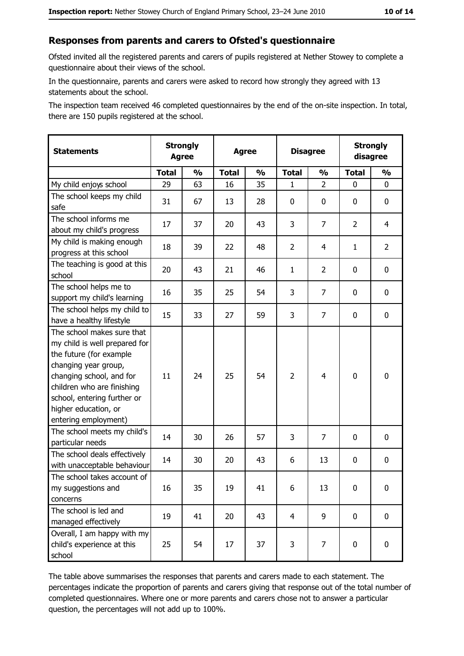#### Responses from parents and carers to Ofsted's questionnaire

Ofsted invited all the registered parents and carers of pupils registered at Nether Stowey to complete a questionnaire about their views of the school.

In the questionnaire, parents and carers were asked to record how strongly they agreed with 13 statements about the school.

The inspection team received 46 completed questionnaires by the end of the on-site inspection. In total, there are 150 pupils registered at the school.

| <b>Statements</b>                                                                                                                                                                                                                                       | <b>Strongly</b><br><b>Agree</b> |               | <b>Agree</b> |               | <b>Disagree</b> |                | <b>Strongly</b><br>disagree |                |
|---------------------------------------------------------------------------------------------------------------------------------------------------------------------------------------------------------------------------------------------------------|---------------------------------|---------------|--------------|---------------|-----------------|----------------|-----------------------------|----------------|
|                                                                                                                                                                                                                                                         | <b>Total</b>                    | $\frac{1}{2}$ | <b>Total</b> | $\frac{0}{0}$ | <b>Total</b>    | $\frac{0}{0}$  | <b>Total</b>                | $\frac{0}{0}$  |
| My child enjoys school                                                                                                                                                                                                                                  | 29                              | 63            | 16           | 35            | 1               | 2              | 0                           | $\mathbf 0$    |
| The school keeps my child<br>safe                                                                                                                                                                                                                       | 31                              | 67            | 13           | 28            | $\mathbf 0$     | 0              | 0                           | 0              |
| The school informs me<br>about my child's progress                                                                                                                                                                                                      | 17                              | 37            | 20           | 43            | 3               | 7              | $\overline{2}$              | $\overline{4}$ |
| My child is making enough<br>progress at this school                                                                                                                                                                                                    | 18                              | 39            | 22           | 48            | $\overline{2}$  | 4              | 1                           | $\overline{2}$ |
| The teaching is good at this<br>school                                                                                                                                                                                                                  | 20                              | 43            | 21           | 46            | $\mathbf{1}$    | $\overline{2}$ | 0                           | 0              |
| The school helps me to<br>support my child's learning                                                                                                                                                                                                   | 16                              | 35            | 25           | 54            | 3               | 7              | 0                           | $\mathbf 0$    |
| The school helps my child to<br>have a healthy lifestyle                                                                                                                                                                                                | 15                              | 33            | 27           | 59            | 3               | 7              | 0                           | $\mathbf 0$    |
| The school makes sure that<br>my child is well prepared for<br>the future (for example<br>changing year group,<br>changing school, and for<br>children who are finishing<br>school, entering further or<br>higher education, or<br>entering employment) | 11                              | 24            | 25           | 54            | $\overline{2}$  | 4              | $\mathbf 0$                 | $\mathbf 0$    |
| The school meets my child's<br>particular needs                                                                                                                                                                                                         | 14                              | 30            | 26           | 57            | 3               | 7              | 0                           | 0              |
| The school deals effectively<br>with unacceptable behaviour                                                                                                                                                                                             | 14                              | 30            | 20           | 43            | 6               | 13             | 0                           | $\mathbf 0$    |
| The school takes account of<br>my suggestions and<br>concerns                                                                                                                                                                                           | 16                              | 35            | 19           | 41            | 6               | 13             | 0                           | 0              |
| The school is led and<br>managed effectively                                                                                                                                                                                                            | 19                              | 41            | 20           | 43            | $\overline{4}$  | 9              | $\bf{0}$                    | $\mathbf 0$    |
| Overall, I am happy with my<br>child's experience at this<br>school                                                                                                                                                                                     | 25                              | 54            | 17           | 37            | 3               | 7              | $\mathbf 0$                 | $\mathbf 0$    |

The table above summarises the responses that parents and carers made to each statement. The percentages indicate the proportion of parents and carers giving that response out of the total number of completed questionnaires. Where one or more parents and carers chose not to answer a particular question, the percentages will not add up to 100%.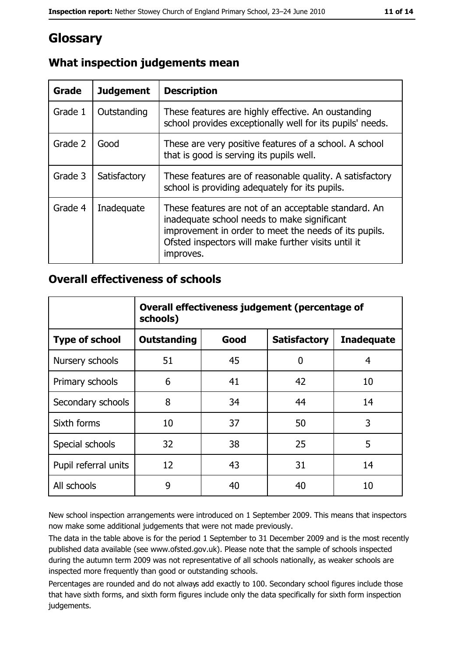# **Glossary**

| <b>Grade</b> | <b>Judgement</b> | <b>Description</b>                                                                                                                                                                                                               |
|--------------|------------------|----------------------------------------------------------------------------------------------------------------------------------------------------------------------------------------------------------------------------------|
| Grade 1      | Outstanding      | These features are highly effective. An oustanding<br>school provides exceptionally well for its pupils' needs.                                                                                                                  |
| Grade 2      | Good             | These are very positive features of a school. A school<br>that is good is serving its pupils well.                                                                                                                               |
| Grade 3      | Satisfactory     | These features are of reasonable quality. A satisfactory<br>school is providing adequately for its pupils.                                                                                                                       |
| Grade 4      | Inadequate       | These features are not of an acceptable standard. An<br>inadequate school needs to make significant<br>improvement in order to meet the needs of its pupils.<br>Ofsted inspectors will make further visits until it<br>improves. |

## What inspection judgements mean

#### **Overall effectiveness of schools**

|                       | Overall effectiveness judgement (percentage of<br>schools) |      |                     |                   |
|-----------------------|------------------------------------------------------------|------|---------------------|-------------------|
| <b>Type of school</b> | <b>Outstanding</b>                                         | Good | <b>Satisfactory</b> | <b>Inadequate</b> |
| Nursery schools       | 51                                                         | 45   | O                   | 4                 |
| Primary schools       | 6                                                          | 41   | 42                  | 10                |
| Secondary schools     | 8                                                          | 34   | 44                  | 14                |
| Sixth forms           | 10                                                         | 37   | 50                  | 3                 |
| Special schools       | 32                                                         | 38   | 25                  | 5                 |
| Pupil referral units  | 12                                                         | 43   | 31                  | 14                |
| All schools           | 9                                                          | 40   | 40                  | 10                |

New school inspection arrangements were introduced on 1 September 2009. This means that inspectors now make some additional judgements that were not made previously.

The data in the table above is for the period 1 September to 31 December 2009 and is the most recently published data available (see www.ofsted.gov.uk). Please note that the sample of schools inspected during the autumn term 2009 was not representative of all schools nationally, as weaker schools are inspected more frequently than good or outstanding schools.

Percentages are rounded and do not always add exactly to 100. Secondary school figures include those that have sixth forms, and sixth form figures include only the data specifically for sixth form inspection judgements.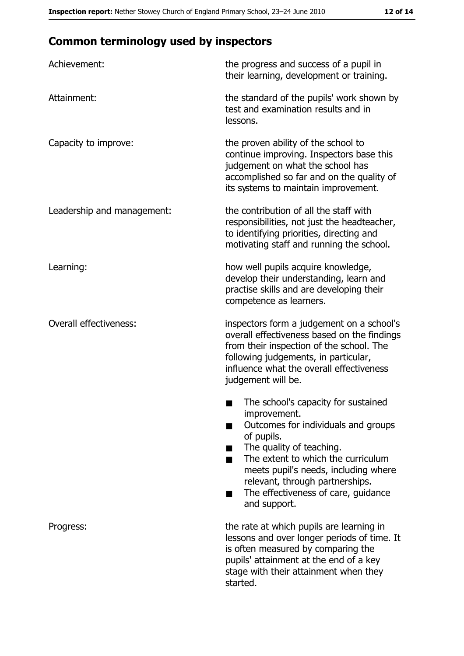# **Common terminology used by inspectors**

| Achievement:                  | the progress and success of a pupil in<br>their learning, development or training.                                                                                                                                                                                                                           |
|-------------------------------|--------------------------------------------------------------------------------------------------------------------------------------------------------------------------------------------------------------------------------------------------------------------------------------------------------------|
| Attainment:                   | the standard of the pupils' work shown by<br>test and examination results and in<br>lessons.                                                                                                                                                                                                                 |
| Capacity to improve:          | the proven ability of the school to<br>continue improving. Inspectors base this<br>judgement on what the school has<br>accomplished so far and on the quality of<br>its systems to maintain improvement.                                                                                                     |
| Leadership and management:    | the contribution of all the staff with<br>responsibilities, not just the headteacher,<br>to identifying priorities, directing and<br>motivating staff and running the school.                                                                                                                                |
| Learning:                     | how well pupils acquire knowledge,<br>develop their understanding, learn and<br>practise skills and are developing their<br>competence as learners.                                                                                                                                                          |
| <b>Overall effectiveness:</b> | inspectors form a judgement on a school's<br>overall effectiveness based on the findings<br>from their inspection of the school. The<br>following judgements, in particular,<br>influence what the overall effectiveness<br>judgement will be.                                                               |
|                               | The school's capacity for sustained<br>improvement.<br>Outcomes for individuals and groups<br>of pupils.<br>The quality of teaching.<br>The extent to which the curriculum<br>meets pupil's needs, including where<br>relevant, through partnerships.<br>The effectiveness of care, guidance<br>and support. |
| Progress:                     | the rate at which pupils are learning in<br>lessons and over longer periods of time. It<br>is often measured by comparing the<br>pupils' attainment at the end of a key<br>stage with their attainment when they<br>started.                                                                                 |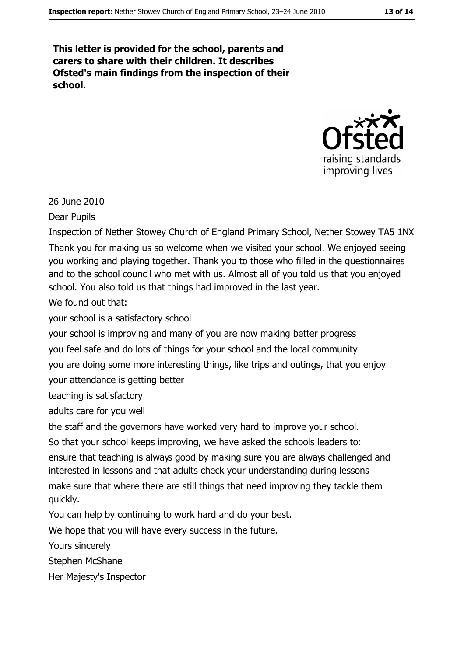This letter is provided for the school, parents and carers to share with their children. It describes Ofsted's main findings from the inspection of their school.



26 June 2010

**Dear Pupils** 

Inspection of Nether Stowey Church of England Primary School, Nether Stowey TA5 1NX Thank you for making us so welcome when we visited your school. We enjoyed seeing you working and playing together. Thank you to those who filled in the questionnaires and to the school council who met with us. Almost all of you told us that you enjoyed school. You also told us that things had improved in the last year.

We found out that:

your school is a satisfactory school

your school is improving and many of you are now making better progress you feel safe and do lots of things for your school and the local community you are doing some more interesting things, like trips and outings, that you enjoy vour attendance is getting better

teaching is satisfactory

adults care for you well

the staff and the governors have worked very hard to improve your school.

So that your school keeps improving, we have asked the schools leaders to:

ensure that teaching is always good by making sure you are always challenged and interested in lessons and that adults check your understanding during lessons make sure that where there are still things that need improving they tackle them auickly.

You can help by continuing to work hard and do your best.

We hope that you will have every success in the future.

Yours sincerely

Stephen McShane

Her Majesty's Inspector